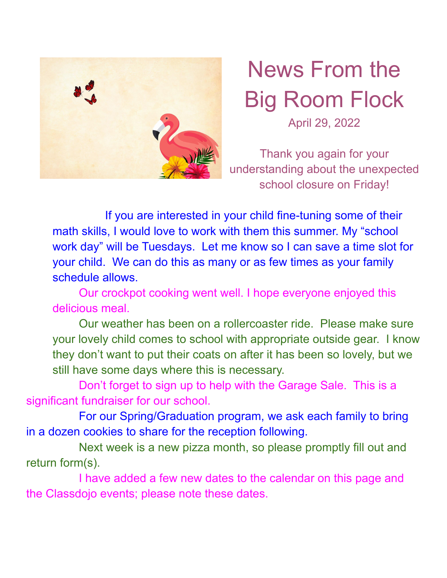

## News From the Big Room Flock April 29, 2022

Thank you again for your understanding about the unexpected school closure on Friday!

If you are interested in your child fine-tuning some of their math skills, I would love to work with them this summer. My "school work day" will be Tuesdays. Let me know so I can save a time slot for your child. We can do this as many or as few times as your family schedule allows.

Our crockpot cooking went well. I hope everyone enjoyed this delicious meal.

Our weather has been on a rollercoaster ride. Please make sure your lovely child comes to school with appropriate outside gear. I know they don't want to put their coats on after it has been so lovely, but we still have some days where this is necessary.

Don't forget to sign up to help with the Garage Sale. This is a significant fundraiser for our school.

For our Spring/Graduation program, we ask each family to bring in a dozen cookies to share for the reception following.

Next week is a new pizza month, so please promptly fill out and return form(s).

I have added a few new dates to the calendar on this page and the Classdojo events; please note these dates.